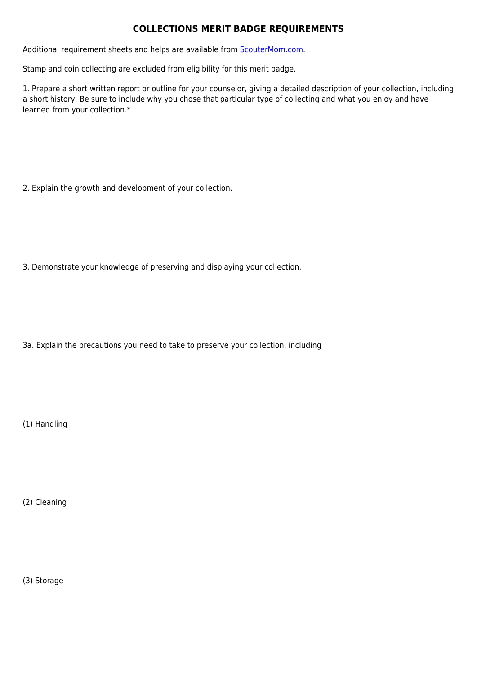## **COLLECTIONS MERIT BADGE REQUIREMENTS**

Additional requirement sheets and helps are available from **[ScouterMom.com](http://scoutermom.com).** 

Stamp and coin collecting are excluded from eligibility for this merit badge.

1. Prepare a short written report or outline for your counselor, giving a detailed description of your collection, including a short history. Be sure to include why you chose that particular type of collecting and what you enjoy and have learned from your collection.\*

2. Explain the growth and development of your collection.

3. Demonstrate your knowledge of preserving and displaying your collection.

3a. Explain the precautions you need to take to preserve your collection, including

(1) Handling

(2) Cleaning

(3) Storage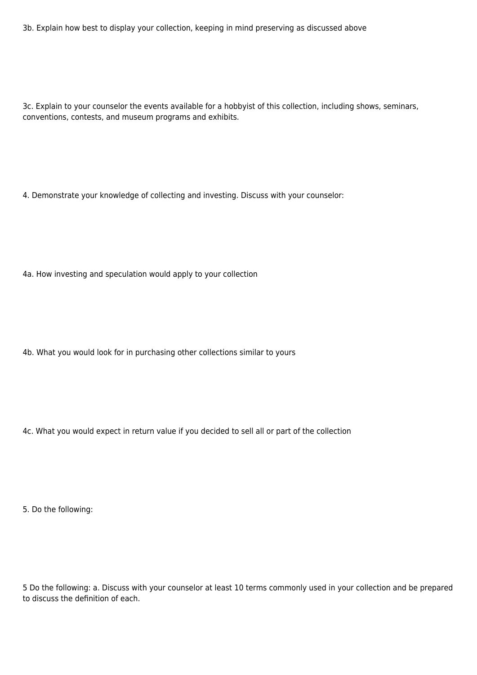3b. Explain how best to display your collection, keeping in mind preserving as discussed above

3c. Explain to your counselor the events available for a hobbyist of this collection, including shows, seminars, conventions, contests, and museum programs and exhibits.

4. Demonstrate your knowledge of collecting and investing. Discuss with your counselor:

4a. How investing and speculation would apply to your collection

4b. What you would look for in purchasing other collections similar to yours

4c. What you would expect in return value if you decided to sell all or part of the collection

5. Do the following:

5 Do the following: a. Discuss with your counselor at least 10 terms commonly used in your collection and be prepared to discuss the definition of each.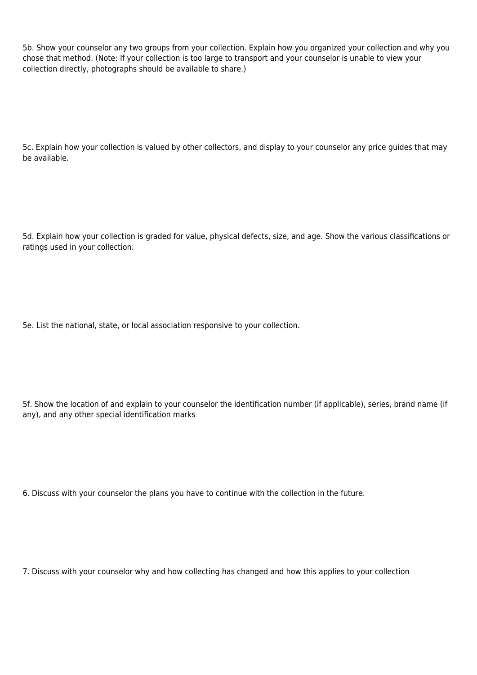5b. Show your counselor any two groups from your collection. Explain how you organized your collection and why you chose that method. (Note: If your collection is too large to transport and your counselor is unable to view your collection directly, photographs should be available to share.)

5c. Explain how your collection is valued by other collectors, and display to your counselor any price guides that may be available.

5d. Explain how your collection is graded for value, physical defects, size, and age. Show the various classifications or ratings used in your collection.

5e. List the national, state, or local association responsive to your collection.

5f. Show the location of and explain to your counselor the identification number (if applicable), series, brand name (if any), and any other special identification marks

6. Discuss with your counselor the plans you have to continue with the collection in the future.

7. Discuss with your counselor why and how collecting has changed and how this applies to your collection